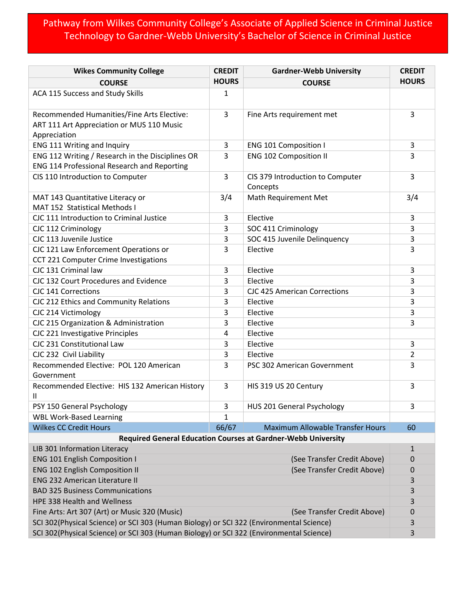## Pathway from Wilkes Community College's Associate of Applied Science in Criminal Justice Technology to Gardner-Webb University's Bachelor of Science in Criminal Justice

| <b>Wikes Community College</b>                                                          | <b>CREDIT</b> | <b>Gardner-Webb University</b>               | <b>CREDIT</b> |  |
|-----------------------------------------------------------------------------------------|---------------|----------------------------------------------|---------------|--|
| <b>COURSE</b>                                                                           | <b>HOURS</b>  | <b>COURSE</b>                                | <b>HOURS</b>  |  |
| ACA 115 Success and Study Skills                                                        | 1             |                                              |               |  |
| Recommended Humanities/Fine Arts Elective:                                              | 3             | Fine Arts requirement met                    | 3             |  |
| ART 111 Art Appreciation or MUS 110 Music                                               |               |                                              |               |  |
| Appreciation                                                                            |               |                                              |               |  |
| ENG 111 Writing and Inquiry                                                             | 3             | <b>ENG 101 Composition I</b>                 | 3             |  |
| ENG 112 Writing / Research in the Disciplines OR                                        | 3             | <b>ENG 102 Composition II</b>                | 3             |  |
| ENG 114 Professional Research and Reporting                                             |               |                                              |               |  |
| CIS 110 Introduction to Computer                                                        | 3             | CIS 379 Introduction to Computer<br>Concepts | 3             |  |
| MAT 143 Quantitative Literacy or                                                        | 3/4           | Math Requirement Met                         | 3/4           |  |
| MAT 152 Statistical Methods I                                                           |               |                                              |               |  |
| CJC 111 Introduction to Criminal Justice                                                | 3             | Elective                                     | 3             |  |
| CJC 112 Criminology                                                                     | 3             | SOC 411 Criminology                          | 3             |  |
| CJC 113 Juvenile Justice                                                                | 3             | SOC 415 Juvenile Delinquency                 | 3             |  |
| CJC 121 Law Enforcement Operations or                                                   | 3             | Elective                                     | 3             |  |
| CCT 221 Computer Crime Investigations                                                   |               |                                              |               |  |
| CJC 131 Criminal law                                                                    | 3             | Elective                                     | 3             |  |
| CJC 132 Court Procedures and Evidence                                                   | 3             | Elective                                     | 3             |  |
| CJC 141 Corrections                                                                     | 3             | <b>CJC 425 American Corrections</b>          | 3             |  |
| CJC 212 Ethics and Community Relations                                                  | 3             | Elective                                     | 3             |  |
| CJC 214 Victimology                                                                     | 3             | Elective                                     | 3             |  |
| CJC 215 Organization & Administration                                                   | 3             | Elective                                     | 3             |  |
| CJC 221 Investigative Principles                                                        | 4             | Elective                                     |               |  |
| CJC 231 Constitutional Law                                                              | 3             | Elective                                     | 3             |  |
| CJC 232 Civil Liability                                                                 | 3             | Elective                                     | 2             |  |
| Recommended Elective: POL 120 American<br>Government                                    | 3             | PSC 302 American Government                  | 3             |  |
| Recommended Elective: HIS 132 American History<br>Ш                                     | 3             | HIS 319 US 20 Century                        | 3             |  |
| PSY 150 General Psychology                                                              | 3             | HUS 201 General Psychology                   | 3             |  |
| <b>WBL Work-Based Learning</b>                                                          | 1             |                                              |               |  |
| <b>Wilkes CC Credit Hours</b>                                                           | 66/67         | <b>Maximum Allowable Transfer Hours</b>      | 60            |  |
| <b>Required General Education Courses at Gardner-Webb University</b>                    |               |                                              |               |  |
| LIB 301 Information Literacy                                                            |               |                                              | 1             |  |
| <b>ENG 101 English Composition I</b>                                                    |               | (See Transfer Credit Above)                  | 0             |  |
| <b>ENG 102 English Composition II</b><br>(See Transfer Credit Above)                    |               |                                              | 0             |  |
| <b>ENG 232 American Literature II</b>                                                   |               |                                              |               |  |
| <b>BAD 325 Business Communications</b>                                                  |               |                                              |               |  |
| HPE 338 Health and Wellness                                                             |               |                                              |               |  |
| Fine Arts: Art 307 (Art) or Music 320 (Music)                                           |               | (See Transfer Credit Above)                  | 0             |  |
| SCI 302(Physical Science) or SCI 303 (Human Biology) or SCI 322 (Environmental Science) |               |                                              |               |  |
| SCI 302(Physical Science) or SCI 303 (Human Biology) or SCI 322 (Environmental Science) |               |                                              |               |  |